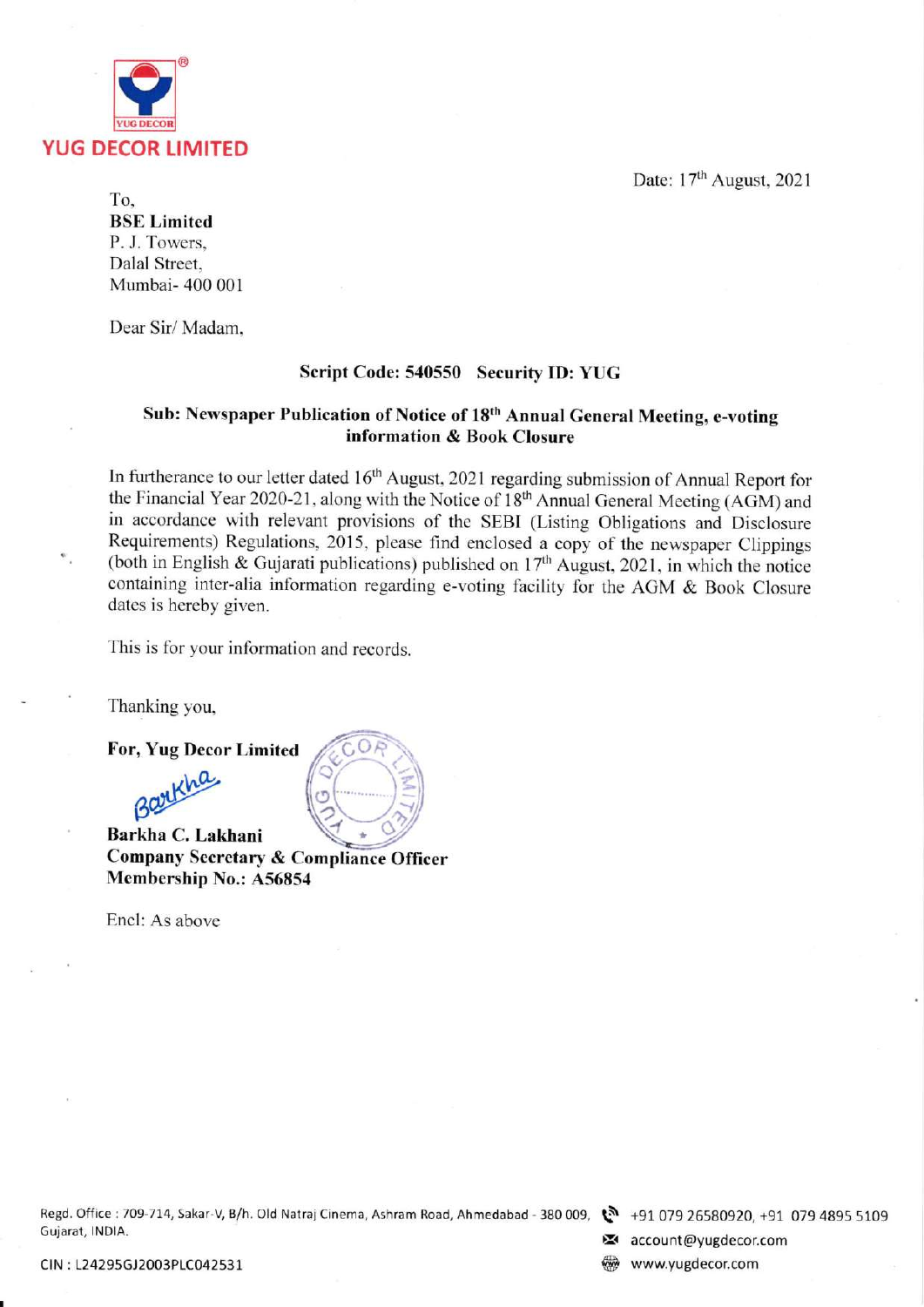Date: 17<sup>th</sup> August, 2021



To, BSE Limited P. J. Towers, Dalal Street. Mumbai- 400 001

Dear Sir/ Madam.

# Script Code: 540550 Securify ID: YUG

# Sub: Newspaper Publication of Notice of 18<sup>th</sup> Annual General Meeting, e-voting information & Book Closure

In furtherance to our letter dated 16<sup>th</sup> August, 2021 regarding submission of Annual Report for the Financial Year 2020-21, along with the Notice of 18<sup>th</sup> Annual General Meeting (AGM) and in accordance with relevant provisions of the SEBI (Listing Obligations and Disclosure Requirements) Regulations, 2015, please find enclosed a copy of the newspaper Clippings (both in English & Gujarati publications) published on  $17<sup>th</sup>$  August, 2021, in which the notice containing inter-alia information regarding e-voting facility for the AGM & Book Closure dates is hereby given.

This is for your information and records.

Thanking you,

For, Yug Decor Limited



o Company Secretary & Compliance Officer Membership No.: 456854

,J

 $\overline{\phantom{a}}$  $\mathscr{C}$ 

o

-/

Encl: As above

Regd. Office r709-714, Sakar-V B/h. Old NatrajCinema, Ashram Road, Ahmedabad - 380 009, \$ Gujarat, lNDlA. ):< +91 079 26580920, +91 079 4895 5109

**z** account@yugdecor.com

CIN : 124295GJ2003P1CO42531 S www.yugdecor.com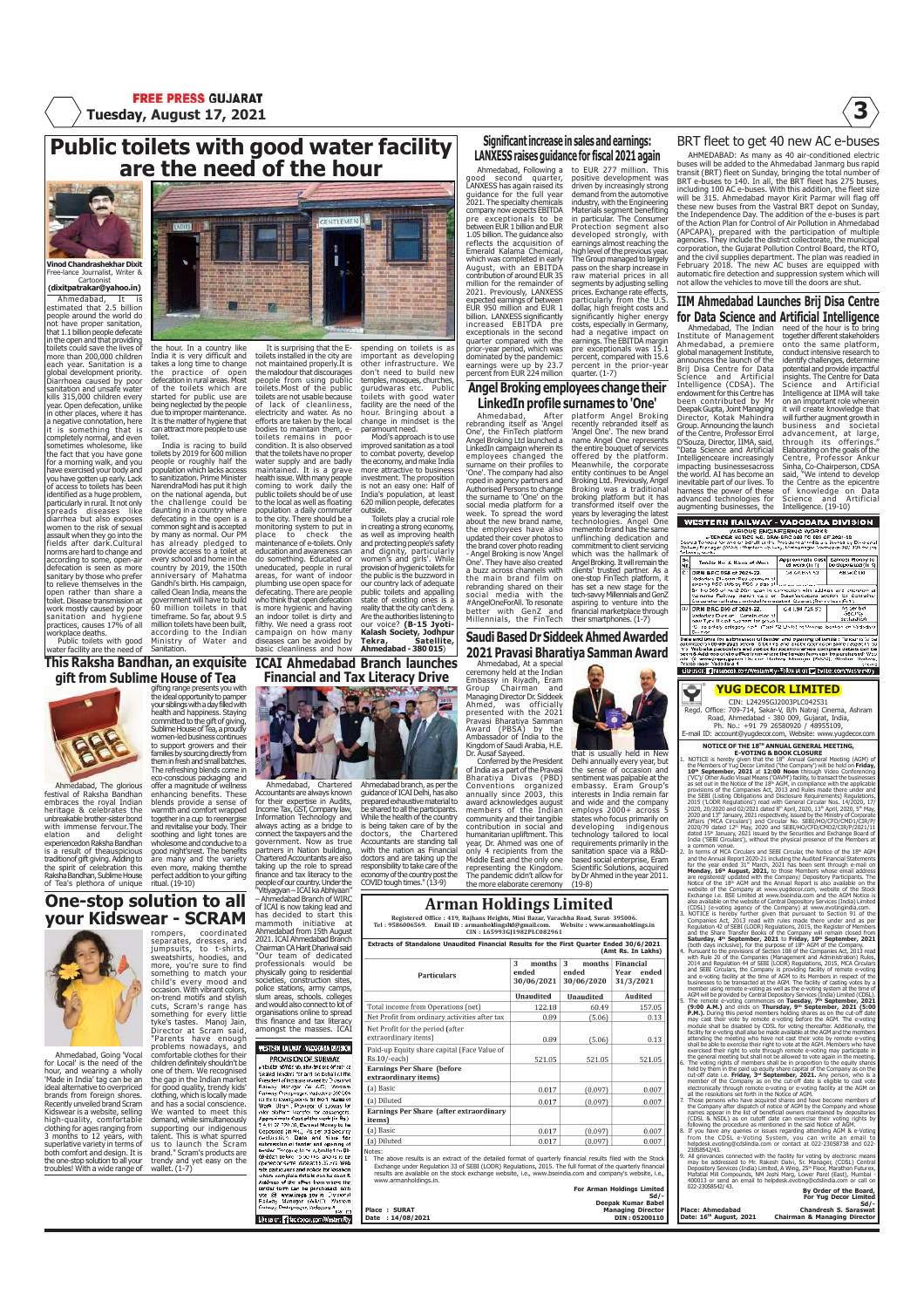# Public toilets with good water facility are the need of the hour



Free-lance Journalist, Writer & Cartoonist<br>**(dixitpatrakar@yahoo.in)** 

Ahmedabad, It is estimated that 2.5 billion people around the world do not have proper sanitation, that 1.1 billion people defecate n the open and that providing ilets could save the lives of<br>iore than 200,000 children more than 200,000 children each year. Sanitation is a global development priority. Diarrhoea caused by poor sanitation and unsafe water kills 315,000 children every year. Open defecation, unlike in other places, where it has a negative connotation, here it is something that is<br>completely normal, and even<br>sometimes wholesome, like<br>the fact that you have gone<br>for a morning walk, and you<br>have exercised your body and<br>you have gotten up early. Lack<br>of access to toilets has bee identified as a huge problem, particularly in rural. It not only spreads diseases like diarrhea but also exposes women to the risk of sexual assault when they go into the women to the risk of sexual<br>assault when they go into the<br>fields after dark.Cultural norms are hard to change and according to some, open-air defecation is seen as more sanitary by those who prefer to relieve themselves in the open rather than share a toilet. Disease transmission at work mostly caused by poor sanitation and hygiene practices, causes 17% of all workplace deaths. Public toilets with good

water facility are the need of

This Raksha Bandhan, an exquisite gift from Sublime House of Tea



Ahmedabad, The glorious festival of Raksha Bandhan embraces the royal Indian heritage & celebrates the unbreakable brother-sister bond undreakade drouter sister cont<br>with immense fervour.The elation and delight experiencedon Raksha Bandhan is a result of theauspicious traditionof gift giving. Adding to the spirit of celebration this Raksha Bandhan, Sublime House of Tea's plethora of unique

### One-stop solution to all your Kidswear - SCRAM



Ahmedabad, Going 'Vocal for Local' is the need of the hour, and wearing a wholly 'Made in India' tag can be an ideal alternative to overpriced brands from foreign shores. Recently unveiled brand Scram<br>Kidswear is a website, selling<br>high-quality, comfortable<br>clothing for ages ranging from<br>3 months to 12 years, with<br>superlative variety in terms of both comfort and design. It is the one-stop solution to all your troubles! With a wide range of rompers, coordinated agency<br>congresses, and<br>sweatshirts, to t-shirts, and<br>sweatshirts, hoodies, and<br>something to match young the find<br>condination of the binding to move<br>occasion. With vieward condination<br>contains, Scram's

"Parents have enough problems nowadays, and comfortable clothes for their children definitely shouldn't be one of them. We recognised the gap in the Indian market for good quality, trendy kids' clothing, which is locally made and has a social conscience. We wanted to meet this demand, while simultaneously supporting our indigenous talent. This is what spurred us to launch the Scram brand." Scram's products are trendy and yet easy on the wallet. (1-7)

the hour. In a country like<br>India it is yery difficult and India it is very difficult and takes a long time to change the practice of open It is surprising that the E-toilets installed in the city are not maintained properly.It is the malodour that discourages people from using public toilets.Most of the public

defecation in rural areas. Most of the toilets which are started for public use are being neglected by the people due to improper maintenance. It is the matter of hygiene that can attract more people to use toilet. toilets are not usable because of lack of cleanliness, electricity and water. As no efforts are taken by the local

India is racing to build toilets by 2019 for 600 million people or roughly half the population which lacks access to sanitization. Prime Minister NarendraModi has put it high on the national agenda, but the challenge could be daunting in a country where defecating in the open is a common sight and is accepted by many as normal. Our PM has already pledged to provide access to a toilet at every school and home in the<br>country by 2019, the 150th<br>anniversary of Mahatma<br>called Clean India, means the<br>cold clean India, means the<br>government will have to build<br>60 million toilets in that<br>timeframe. So far, about 9.5 million toilets have been built, according to the Indian Ministry of Water and **Sanitation** bodies to maintain them, e-<br>toilets to maintain in poor<br>condition. It is also observed<br>that the toilets have no proper<br>water supply and are badly<br>meant suce. With many people<br>conting to work to divide the best of the local education and awareness can<br>do something. Educated or<br>uneducated, people in rural<br>plumbing use open space for<br>plumbing use open space for<br>defecating. There are people<br>who think that open defecation<br>is more hygienic and hav an indoor toilet is dirty and<br>filthy. We need a grass root campaign on how many diseases can be avoided by basic cleanliness and how

gifting range presents you with the ideal opportunity to pamper your siblings with a day filled with health and happiness. Staying

committed to the gift of giving,<br>Sublime House of Tea, a proudly<br>women-led business continues<br>to support growers and their<br>families by sourcing directly from<br>them in fresh and small batches.

The refreshing blends come in<br>eco-conscious packaging and<br>offer a magnitude of wellnessenhancing benefits. These<br>blends provide a sense of<br>by warmth and comfort wrapped<br>together in acup to reenergies<br>and revitalise your bo

good night'srest. The benefits are many and the variety even more, making themthe perfect addition to your gifting ritual. (19-10)

spending on toilets is as important as developing other infrastructure. We don't need to build new temples, mosques, churches, gurudwaras etc. Public toilets with good water facility are the need of the hour. Bringing about a change in mindset is the

paramount need. Modi's approach is to use improved sanitation as a tool to combat poverty, develop the economy, and make India more attractive to business investment. The proposition is not an easy one: Half of India's population, at least 620 million people, defecates

outside.<br>Toilets play a crucial role<br>in creating a stong economy,<br>as well as improving health<br>and protecting people's safety<br>and protecting people's safety<br>and dignity, particularly<br>provision of hygienic toilets for<br>bure p our voice? (B-15 Jyoti-Kalash Society, Jodhpur Tekra, Satellite, Ahmedabad - 380 015)

ICAI Ahmedabad Branch launches Financial and Tax Literacy Drive



Ahmedabad, Chartered Accountants are always known for their expertise in Audits, Income Tax, GST, Company law, Information Technology and<br>always acting as a bridge to<br>connect the taxpayers and the<br>government. Now as true<br>partners in Nation building,<br>Chartered Accountants are also<br>taking up the role to spread<br>finance and tax literac Ahmedabad branch, as per the guidance of ICAI Delhi, has also prepared exhaustive material to be shared to all the participants. While the health of the country<br>is being taken care of by the<br>doctors, the Chartered<br>Accountants are standing tall<br>with the nation as Financial<br>doctors and are taking up the<br>responsibility to take care of the

people of our country. Under the<br>"Vitiyagyan – ICAI ka Abhiyaan"<br>of ICAI is now taking lead and<br>has decided to start this<br>mammoth initiative at<br>Ahmedabad from 15th August

2021. ICAI Ahmedabad Branch<br>Chairman CA Harit Dhariwal said<br>"Our team of dedicated<br>professionals would be<br>physically going to residential<br>societies, construction sites,<br>police stations, army camps,<br>slum areas, schools. col organisations online to spread this finance and tax literacy amongst the masses. ICAI WESTERN RAILWAY - WASCARA DIVISION PROVISION OF SUBWAY<br>https://www.ukipedia.org/2021

**PRODUCES AN ENGINEER CONSUMER CONSUMER AND CONSUMER CONSUMER CONSUMER TO A TRANSPORT OF A STATE CONSUMER CONSUMER CONSUMER CONSUMER CONSUMER CONSUMER CONSUMER CONSUMER CONSUMER CONSUMER CONSUMER CONSUMER CONSUMER CONSUME** 

Like us on: 2 facebook.com/Western

### Significant increase in sales and earnings: LANXESS raises guidance for fiscal 2021 again

to EUR 277 million. This positive development was driven by increasingly strong demand from the automotive

industry, with the Engineering Materials segment benefiting in particular. The Consumer Protection segment also developed strongly, with earnings almost reaching the high level of the previous year.

The Group managed to largely pass on the sharp increase in

Ahmedabad, Following a good second quarter, LANXESS has again raised its guidance for the full year 2021. The specialty chemicals<br>
company now expects EBITDA<br>
pre exceptionals to be<br>
between EUR 1 billion and EUR<br>
1.05 billion. The guidance also<br>
reflects the acquisition of<br>
Emerald Kalama Chemical,<br>
which was completed August, with an EBITDA<br>contribution of around EUR 35<br>2021. Previously, LANXESS<br>2021. Previously, LANXESS<br>expected earnings of between<br>EUR 950 million and EUR 1<br>billion. LANXESS significantly<br>increased EBITDA<br>exceptionals i quarter compared with the prior-year period, which was dominated by the pandemic: earnings were up by 23.7 percent from EUR 224 million

### Angel Broking employees change their LinkedIn profile surnames to 'One'

Ahmedabad, After rebranding itself as 'Angel One', the FinTech platform Angel Broking Ltd launched a LinkedIn campaign wherein its employees changed the surname on their profiles to<br>'One'. The company had also<br>coped in agency partners and<br>the surname to 'One' on the<br>social media platform for a<br>week. To spread the word<br>about the new brand name, the employees have also updated their cover photos to the brand cover photo reading - Angel Broking is now 'Angel One'. They have also created a buzz across channels with the main brand film on rebranding shared on their social media with the #AngelOneForAll. To resonate better with GenZ and Millennials, the FinTech platform Angel Broking commitment to client servicing<br>which was the hallmark of<br>Angel Broking. It will remain the<br>clients' trusted partner. As a<br>one-stop FinTech platform, it<br>has set a new stage for the<br>tech-savvy Millennials and GenZ aspiring to venture into the financial marketplace through their smartphones. (1-7)

Saudi Based Dr Siddeek Ahmed Awarded 2021 Pravasi Bharatiya Samman Award

that is usually held in New Delhi annually every year, but the sense of occasion and sentiment was palpable at the

embassy. Eram Group's<br>interests in India remain far<br>and wide and the company<br>employs 2000+ across 5<br>states who focus primarily on<br>developing indigenous<br>technology tailored to local

requirements primarily in the sanitation space via a R&D-based social enterprise, Eram Scientific Solutions, acquired by Dr Ahmed in the year 2011. (19-8)

Ahmedabad, At a special ceremony held at the Indian

Conventions organized annually since 2003, this award acknowledges august members of the Indian community and their tangible contribution in social and

# Arman Holdings Limited

Registered Office : 419, Rajhans Heights, Mini Bazar, Varachha Road, Surat- 395006.<br>Tel : 9586006569. Email ID : armanholdings.in@gmail.com. Website : www.armanholdings.in<br>CIN : L65993GJ1982PLC082961

| <b>Particulars</b>                                                                                                                                                                                                                                                                                                                                                                     | 3<br>months<br>ended<br>30/06/2021 | 3<br>months<br>ended<br>30/06/2020 | Financial<br>ended<br>Year<br>31/3/2021 |
|----------------------------------------------------------------------------------------------------------------------------------------------------------------------------------------------------------------------------------------------------------------------------------------------------------------------------------------------------------------------------------------|------------------------------------|------------------------------------|-----------------------------------------|
|                                                                                                                                                                                                                                                                                                                                                                                        | <b>Unaudited</b>                   | <b>Unaudited</b>                   | Audited                                 |
| Total income from Operations (net)                                                                                                                                                                                                                                                                                                                                                     | 122.18                             | 60.49                              | 157.05                                  |
| Net Profit from ordinary activities after tax                                                                                                                                                                                                                                                                                                                                          | 0.89                               | (5.06)                             | 0.13                                    |
| Net Profit for the period (after<br>extraordinary items)                                                                                                                                                                                                                                                                                                                               | 0.89                               | (5.06)                             | 0.13                                    |
| Paid-up Equity share capital (Face Value of<br>Rs.10/-each)                                                                                                                                                                                                                                                                                                                            | 521.05                             | 521.05                             | 521.05                                  |
| <b>Earnings Per Share (before</b><br>extraordinary items)                                                                                                                                                                                                                                                                                                                              |                                    |                                    |                                         |
| (a) Basic                                                                                                                                                                                                                                                                                                                                                                              | 0.017                              | (0.097)                            | 0.007                                   |
| (a) Diluted                                                                                                                                                                                                                                                                                                                                                                            | 0.017                              | (0.097)                            | 0.007                                   |
| Earnings Per Share (after extraordinary<br>items)                                                                                                                                                                                                                                                                                                                                      |                                    |                                    |                                         |
| (a) Basic                                                                                                                                                                                                                                                                                                                                                                              | 0.017                              | (0.097)                            | 0.007                                   |
| (a) Diluted                                                                                                                                                                                                                                                                                                                                                                            | 0.017                              | (0.097)                            | 0.007                                   |
| Notes:<br>The above results is an extract of the detailed format of quarterly financial results filed with the Stock<br>$\mathbf{1}$<br>Exchange under Regulation 33 of SEBI (LODR) Regulations, 2015. The full format of the quarterly financial<br>results are available on the stock exchange website, i.e., www.bseindia.com and company's website, i.e.,<br>www.armanholdings.in. |                                    |                                    | <b>For Arman Holdings Limited</b>       |

| Place: SURAT     |  |  |
|------------------|--|--|
| Date: 14/08/2021 |  |  |

# BRT fleet to get 40 new AC e-buses

AHMEDABAD: As many as 40 air-conditioned electric buses will be added to the Ahmedabad Janmarg bus rapid transit (BRT) fleet on Sunday, bringing the total number of BRT e-buses to 140. In all, the BRT fleet has 275 buses, including 100 AC e-buses. With this addition, the fleet size will be 315. Ahmedabad mayor Kirit Parmar will flag off these new buses from the Vastral BRT depot on Sunday, the Independence Day. The addition of the e-buses is part of the Action Plan for Control of Air Pollution in Ahmedabad (APCAPA), prepared with the participation of multiple<br>dependes. They include the district collectorate, the municipal<br>corporation, the Gujarat Pollution Control Board, the RTO,<br>and the civil supplies department. The plan w

### IIM Ahmedabad Launches Brij Disa Centre for Data Science and Artificial Intelligence

raw material prices in all segments by adjusting selling prices. Exchange rate effects, particularly from the U.S. dollar, high freight costs and significantly higher energy costs, especially in Germany, had a negative impact on earnings. The EBITDA margin pre exceptionals was 15.1 percent, compared with 15.6 percent in the prior-year quarter. (1-7) recently rebranded itself as 'Angel One'. The new brand name Angel One represents the entire bouquet of services offered by the platform. Meanwhile, the corporate entity continues to be Angel<br>Broking Ltd. Previously, Angel<br>Broking was a traditional<br>broking platform but it has<br>transformed itself over the<br>years by leveraging the latest<br>technologies. Angel One<br>memento brand has the sam Ahmedabad, The Indian Institute of Management Ahmedabad, a premiere global management Institute, announces the launch of the Brij Disa Centre for Data Science and Artificial Intelligence (CDSA). The endowment for this Centre has been contributed by Mr Deepak Gupta, Joint Managing Director, Kotak Mahindra Group. Announcing the launch of the Centre, Professor Errol D'Souza, Director, IIMA, said,<br>"Data Science and Artificial<br>Intelligenceare increasingly<br>impacting businessesscross<br>the world. AI has become an<br>inevitable part of our lives. To<br>advanced technologies for augmenting businesses, the

need of the hour is to bring<br>together different stakeholders<br>conto the same platform,<br>conduct intensive research to<br>identify challenges, determine<br>potential and provide impactful<br>insights. The Centre for Data Science and Artificial Intelligence at IIMA will take on an important role wherein it will create knowledge that will further augment growth in business and societal business and societar<br>advancement, at large,<br>through its offerings." through its offerings."<br>Elaborating on the goals of the<br>Centre, Professor Ankur<br>Sinha, Co-Chairperson, CDSA<br>said, "We intend to develop<br>the Centre as the epicentre<br>Science and Artificial<br>Sintelligence. (19-10)

### **WESTERN RAILWAY - VADODARA DIVISION** VARIOUS ENGINEERING WORKS<br>ETENDER NOTICE NO. DRAFBRO 088 TO 089 OF 2021-22<br>Consist Valine Work of Statistics of the Protocol of the Statistics of the Statistics<br>Institutionals (2001) Consisted Statistics (2001) Statistics urrag<br>Herag Tender No. & Name of Work Near and Chicago<br>Contain Tom Contrain<br>The Versified Contrain<br>The Contrains Security<br>The Security<br>Results Tunder is better<br>Neutrin Tunder is bet -<br>Reflective Division - Construction of<br>Clinic setelly category אמר יום של האי של האי האי של האי של האי של האי של האי של האי של האי של האי של האי של<br>Clinic setelly category אמר יום של האי של האי של האי של האי של האי של הא ster for the state of the state of the state of the state of the state of the state of the state of the state of the state of the state of the state of the state of the state of the state of the state of the state of the s Libe us on: https://www.com/WestamRty-Follow us on: The hyllter.com/WesternRty

## YUG DECOR LIMITED

CIN: L24295GJ2003PLC042531 Regd. Office: 709-714, Sakar-V, B/h Natraj Cinema, Ashram Road, Ahmedabad - 380 009, Gujarat, India, Ph. No.: +91 79 26580920 / 48955109, ail ID: account@yugdecor.com, Website: www.yugdecor.

NOTICE OF THE 18<sup>TH</sup> ANNUAL GENERAL MEETING,<br>E-VOTING & BOOK CLOSURE<br>1. NOTICE is hereby given that the 18<sup>th</sup> Annual General Meeting (AGM) of<br>the Members of Yug Decor Limited ('the Company') will be held on Fr**iday,** 10<sup>®</sup> September, 2021 at 12:00 Noon through Video Conferencing<br>(VCT) Other Audio Visual Means (OAMY) facility, to transact the businesses<br>provident of the Notles of the 16° AGN, in compliance with the applicable<br>provident 2020 and 13® January, 2021 respectively, issued by the Ministry of Corporate<br>Affairs ('MCA Circulars') and Circular No. SEBI/HO/CFD/CMD1/CIR/P/2<br>2020/79 dated 12® May, 2020 and SEBI/HO/CFD/CMD2/CIR/P/2021/11 dated 15th January, 2021 issued by the Securities and Exchange Board of India ('SEBI Circulars'), without the physical presence of the Members at

a common venue.<br>
The Model Circulars and SEBI Circular, the Notice of the 18° AGM<br>
and the Annual Report of the AGM Control of the Second Harvard Scheme<br>
Monday, 16° August, 2021, to those Members whose email addresses<br>
ar (CDSL) (e-voting agency of the Company) at www.evotingindia.com.<br>3. NOTICE is hereby further given that pursuant to Section 91 of the<br>Companies Act, 2013 read with rules made there under and as per<br>Companies Act, 2013 read and the Share Transfer Books of the Company will remain closed from<br>**Saturday, 4th September, 2021** to Friday, 10th September, 2021 (both days inclusive), for the purpose of 18<sup>th</sup> AGM of the Company, 4. Pursuant to the provisions of Section 108 of the Company with Rule 20 of the Companies (Management and Administration) Rules, 2014 and Regulation 44 o and evolving fieldling to the time of AGM to its between the peace of the mass can be translated at the AGM to the fieldly of casing week by AGM with the provided by Certain energy and the second of the content of the con

| 022-23058542/43.                                                           | <b>By Order of the Board</b> |
|----------------------------------------------------------------------------|------------------------------|
| 400013 or send an email to helpdesk evoting@cdslindia.com or call on       |                              |
| Mafatlal Mill Compounds, NM Joshi Marg, Lower Parel (East), Mumbai -       |                              |
| Depository Services (India) Limited, A Wing, 25th Floor, Marathon Futurex, |                              |
| may be addressed to Mr. Rakesh Dalvi, Sr. Manager, (CDSL) Central          |                              |
| All grievances connected with the facility for voting by electronic means  |                              |
|                                                                            |                              |

By Order of the Board, For Yug Decor Limited

|                                     | Sd/-                                    |
|-------------------------------------|-----------------------------------------|
| Place: Ahmedabad                    | <b>Chandresh S. Saraswat</b>            |
| Date: 16 <sup>th</sup> August, 2021 | <b>Chairman &amp; Managing Director</b> |

# Embassy in Riyadh, Framma<br>Group Chairman and<br>Managing Director D: Siddeek<br>Ahmed, was officially<br>presented with the 2021<br>Prevasi Bharatiya Samman<br>Award (PBSA) by the<br>Mingdom of Saudi Arabia, H.E.<br>Conferred by the President<br>

economy of the country post the COVID tough times." (13-9) humanitarian upliftment. This<br>year, Dr. Ahmed was one of<br>only 4 recipients from the<br>Middle East and the only one<br>representing the Kingdom.<br>The pandemic didn't allow for<br>the more elaborate ceremony